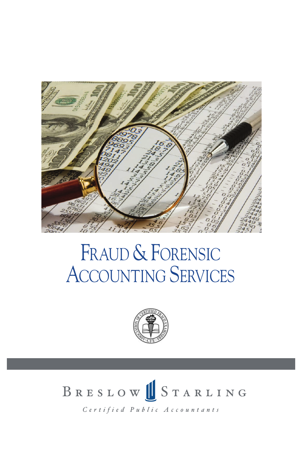

### FRAUD & FORENSIC ACCOUNTING SERVICES



# BRESLOW STARLING

Certified Public Accountants